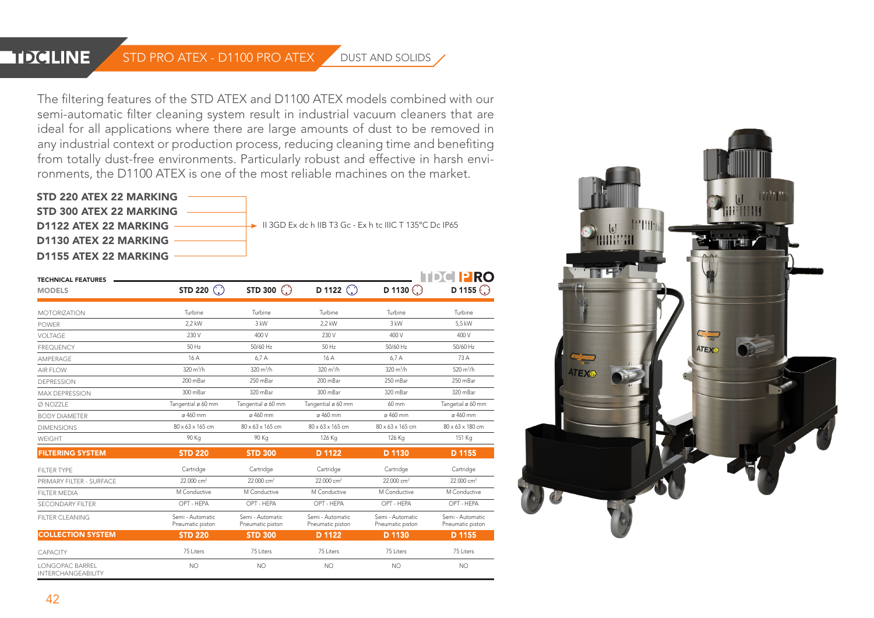## **HIZCLINE**

## STD PRO ATEX - D1100 PRO ATEX DUST AND SOLIDS

The filtering features of the STD ATEX and D1100 ATEX models combined with our semi-automatic filter cleaning system result in industrial vacuum cleaners that are ideal for all applications where there are large amounts of dust to be removed in any industrial context or production process, reducing cleaning time and benefiting from totally dust-free environments. Particularly robust and effective in harsh environments, the D1100 ATEX is one of the most reliable machines on the market.



|                                                      |                                      |                                      |                                      |                                      | <b>TDCIPRO</b>                       |
|------------------------------------------------------|--------------------------------------|--------------------------------------|--------------------------------------|--------------------------------------|--------------------------------------|
| <b>TECHNICAL FEATURES</b><br><b>MODELS</b>           | STD 220 $\binom{?}{'}$               | STD 300 $\binom{?}{'}$               | D 1122 $\bigcirc$                    | D 1130 $\odot$                       | D 1155 $\odot$                       |
| <b>MOTORIZATION</b>                                  | Turbine                              | Turbine                              | Turbine                              | Turbine                              | Turbine                              |
| <b>POWER</b>                                         | 2.2 kW                               | $3$ kW                               | 2.2 kW                               | $3$ kW                               | 5.5 kW                               |
| <b>VOITAGE</b>                                       | 230 V                                | 400 V                                | 230 V                                | 400 V                                | 400 V                                |
| <b>FREQUENCY</b>                                     | 50 Hz                                | 50/60 Hz                             | 50 Hz                                | 50/60 Hz                             | 50/60 Hz                             |
| AMPFRAGE                                             | 16 A                                 | 6.7A                                 | 16A                                  | 6.7A                                 | 73 A                                 |
| AIR FLOW                                             | $320 \text{ m}^3/h$                  | $320 \text{ m}^3/h$                  | $320 \text{ m}^3/h$                  | $320 \text{ m}^3/h$                  | 520 $m^3/h$                          |
| <b>DEPRESSION</b>                                    | 200 mBar                             | 250 mBar                             | 200 mBar                             | 250 mBar                             | 250 mBar                             |
| <b>MAX DEPRESSION</b>                                | 300 mBar                             | 320 mBar                             | 300 mBar                             | 320 mBar                             | 320 mBar                             |
| Ø NOZZLE                                             | Tangential ø 60 mm                   | Tangential ø 60 mm                   | Tangential ø 60 mm                   | $60 \text{ mm}$                      | Tangetial ø 60 mm                    |
| <b>BODY DIAMETER</b>                                 | ø 460 mm                             | ø 460 mm                             | ø 460 mm                             | ø 460 mm                             | ø 460 mm                             |
| <b>DIMENSIONS</b>                                    | $80 \times 63 \times 165$ cm         | $80 \times 63 \times 165$ cm         | $80 \times 63 \times 165$ cm         | $80 \times 63 \times 165$ cm         | $80 \times 63 \times 180$ cm         |
| WEIGHT                                               | 90 Kg                                | 90 Kg                                | 126 Kg                               | 126 Kg                               | 151 Kg                               |
| <b>FILTERING SYSTEM</b>                              | <b>STD 220</b>                       | <b>STD 300</b>                       | D 1122                               | D 1130                               | D 1155                               |
| FIITER TYPE                                          | Cartridge                            | Cartridge                            | Cartridge                            | Cartridge                            | Cartridge                            |
| PRIMARY FILTER - SURFACE                             | 22.000 cm <sup>2</sup>               | 22.000 cm <sup>2</sup>               | 22.000 cm <sup>2</sup>               | 22.000 cm <sup>2</sup>               | 22.000 cm <sup>2</sup>               |
| <b>FILTER MEDIA</b>                                  | M Conductive                         | M Conductive                         | M Conductive                         | M Conductive                         | M Conductive                         |
| <b>SECONDARY FILTER</b>                              | OPT - HEPA                           | OPT - HEPA                           | OPT - HEPA                           | OPT - HEPA                           | OPT - HEPA                           |
| <b>FILTER CLEANING</b>                               | Semi - Automatic<br>Pneumatic piston | Semi - Automatic<br>Pneumatic piston | Semi - Automatic<br>Pneumatic piston | Semi - Automatic<br>Pneumatic piston | Semi - Automatic<br>Pneumatic piston |
| <b>COLLECTION SYSTEM</b>                             | <b>STD 220</b>                       | <b>STD 300</b>                       | D 1122                               | D 1130                               | D 1155                               |
| <b>CAPACITY</b>                                      | 75 Liters                            | 75 Liters                            | 75 Liters                            | 75 Liters                            | 75 Liters                            |
| <b>I ONGOPAC BARREL</b><br><b>INTERCHANGEABILITY</b> | <b>NO</b>                            | <b>NO</b>                            | <b>NO</b>                            | <b>NO</b>                            | <b>NO</b>                            |